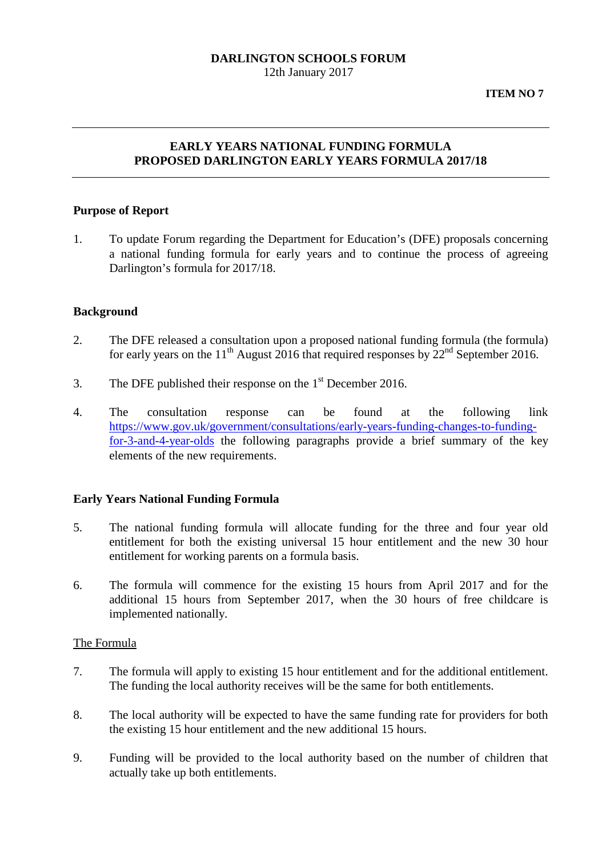# **DARLINGTON SCHOOLS FORUM**

12th January 2017

**ITEM NO 7**

# **EARLY YEARS NATIONAL FUNDING FORMULA PROPOSED DARLINGTON EARLY YEARS FORMULA 2017/18**

#### **Purpose of Report**

1. To update Forum regarding the Department for Education's (DFE) proposals concerning a national funding formula for early years and to continue the process of agreeing Darlington's formula for 2017/18.

#### **Background**

- 2. The DFE released a consultation upon a proposed national funding formula (the formula) for early years on the 11<sup>th</sup> August 2016 that required responses by  $22<sup>nd</sup>$  September 2016.
- 3. The DFE published their response on the  $1<sup>st</sup>$  December 2016.
- 4. The consultation response can be found at the following link [https://www.gov.uk/government/consultations/early-years-funding-changes-to-funding](https://www.gov.uk/government/consultations/early-years-funding-changes-to-funding-for-3-and-4-year-olds)[for-3-and-4-year-olds](https://www.gov.uk/government/consultations/early-years-funding-changes-to-funding-for-3-and-4-year-olds) the following paragraphs provide a brief summary of the key elements of the new requirements.

#### **Early Years National Funding Formula**

- 5. The national funding formula will allocate funding for the three and four year old entitlement for both the existing universal 15 hour entitlement and the new 30 hour entitlement for working parents on a formula basis.
- 6. The formula will commence for the existing 15 hours from April 2017 and for the additional 15 hours from September 2017, when the 30 hours of free childcare is implemented nationally.

#### The Formula

- 7. The formula will apply to existing 15 hour entitlement and for the additional entitlement. The funding the local authority receives will be the same for both entitlements.
- 8. The local authority will be expected to have the same funding rate for providers for both the existing 15 hour entitlement and the new additional 15 hours.
- 9. Funding will be provided to the local authority based on the number of children that actually take up both entitlements.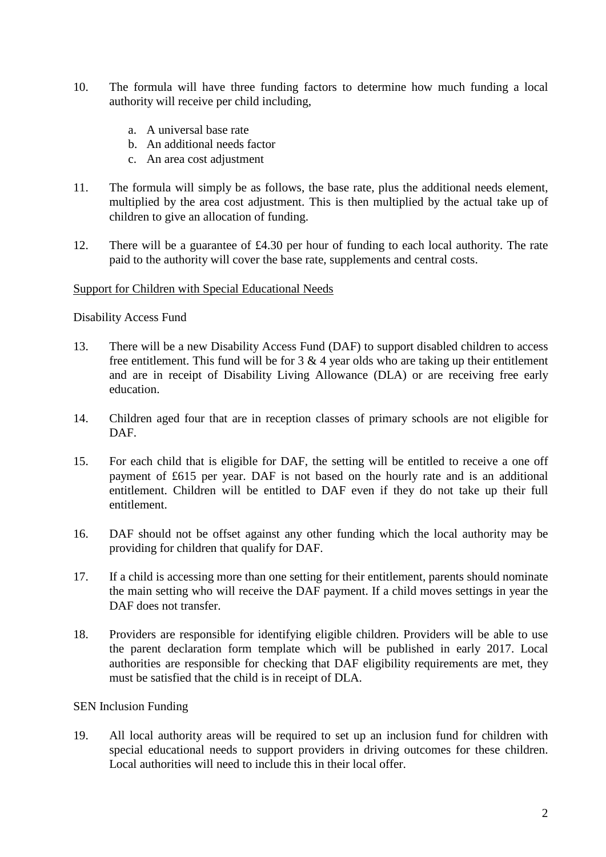- 10. The formula will have three funding factors to determine how much funding a local authority will receive per child including,
	- a. A universal base rate
	- b. An additional needs factor
	- c. An area cost adjustment
- 11. The formula will simply be as follows, the base rate, plus the additional needs element, multiplied by the area cost adjustment. This is then multiplied by the actual take up of children to give an allocation of funding.
- 12. There will be a guarantee of £4.30 per hour of funding to each local authority. The rate paid to the authority will cover the base rate, supplements and central costs.

#### Support for Children with Special Educational Needs

#### Disability Access Fund

- 13. There will be a new Disability Access Fund (DAF) to support disabled children to access free entitlement. This fund will be for  $3 \& 4$  year olds who are taking up their entitlement and are in receipt of Disability Living Allowance (DLA) or are receiving free early education.
- 14. Children aged four that are in reception classes of primary schools are not eligible for DAF.
- 15. For each child that is eligible for DAF, the setting will be entitled to receive a one off payment of £615 per year. DAF is not based on the hourly rate and is an additional entitlement. Children will be entitled to DAF even if they do not take up their full entitlement.
- 16. DAF should not be offset against any other funding which the local authority may be providing for children that qualify for DAF.
- 17. If a child is accessing more than one setting for their entitlement, parents should nominate the main setting who will receive the DAF payment. If a child moves settings in year the DAF does not transfer.
- 18. Providers are responsible for identifying eligible children. Providers will be able to use the parent declaration form template which will be published in early 2017. Local authorities are responsible for checking that DAF eligibility requirements are met, they must be satisfied that the child is in receipt of DLA.

#### SEN Inclusion Funding

19. All local authority areas will be required to set up an inclusion fund for children with special educational needs to support providers in driving outcomes for these children. Local authorities will need to include this in their local offer.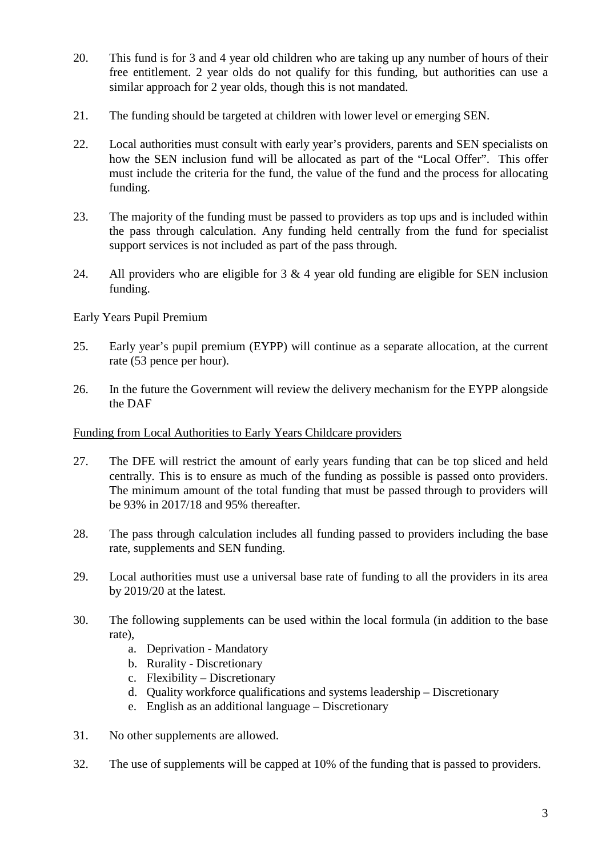- 20. This fund is for 3 and 4 year old children who are taking up any number of hours of their free entitlement. 2 year olds do not qualify for this funding, but authorities can use a similar approach for 2 year olds, though this is not mandated.
- 21. The funding should be targeted at children with lower level or emerging SEN.
- 22. Local authorities must consult with early year's providers, parents and SEN specialists on how the SEN inclusion fund will be allocated as part of the "Local Offer". This offer must include the criteria for the fund, the value of the fund and the process for allocating funding.
- 23. The majority of the funding must be passed to providers as top ups and is included within the pass through calculation. Any funding held centrally from the fund for specialist support services is not included as part of the pass through.
- 24. All providers who are eligible for  $3 \& 4$  year old funding are eligible for SEN inclusion funding.

Early Years Pupil Premium

- 25. Early year's pupil premium (EYPP) will continue as a separate allocation, at the current rate (53 pence per hour).
- 26. In the future the Government will review the delivery mechanism for the EYPP alongside the DAF

### Funding from Local Authorities to Early Years Childcare providers

- 27. The DFE will restrict the amount of early years funding that can be top sliced and held centrally. This is to ensure as much of the funding as possible is passed onto providers. The minimum amount of the total funding that must be passed through to providers will be 93% in 2017/18 and 95% thereafter.
- 28. The pass through calculation includes all funding passed to providers including the base rate, supplements and SEN funding.
- 29. Local authorities must use a universal base rate of funding to all the providers in its area by 2019/20 at the latest.
- 30. The following supplements can be used within the local formula (in addition to the base rate),
	- a. Deprivation Mandatory
	- b. Rurality Discretionary
	- c. Flexibility Discretionary
	- d. Quality workforce qualifications and systems leadership Discretionary
	- e. English as an additional language Discretionary
- 31. No other supplements are allowed.
- 32. The use of supplements will be capped at 10% of the funding that is passed to providers.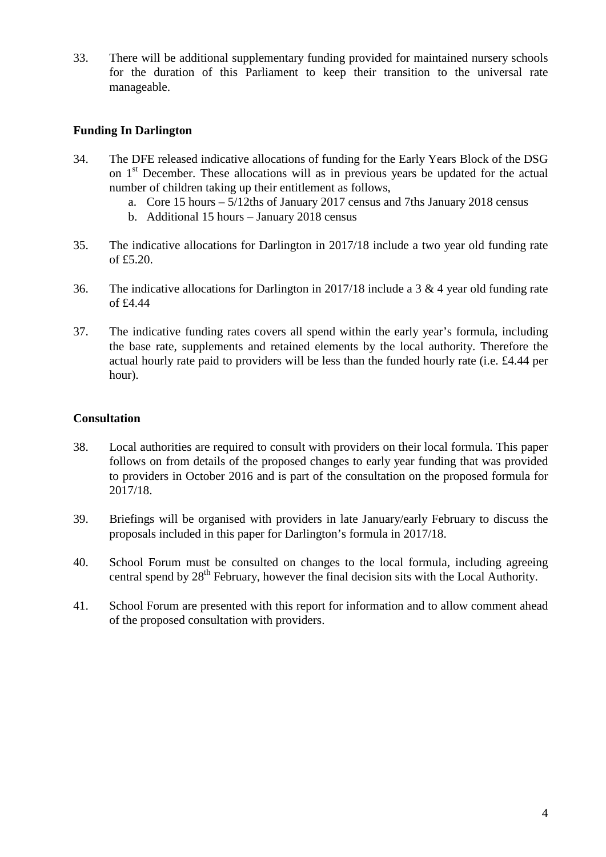33. There will be additional supplementary funding provided for maintained nursery schools for the duration of this Parliament to keep their transition to the universal rate manageable.

## **Funding In Darlington**

- 34. The DFE released indicative allocations of funding for the Early Years Block of the DSG on 1<sup>st</sup> December. These allocations will as in previous years be updated for the actual number of children taking up their entitlement as follows,
	- a. Core 15 hours 5/12ths of January 2017 census and 7ths January 2018 census
	- b. Additional 15 hours January 2018 census
- 35. The indicative allocations for Darlington in 2017/18 include a two year old funding rate of £5.20.
- 36. The indicative allocations for Darlington in 2017/18 include a 3 & 4 year old funding rate of £4.44
- 37. The indicative funding rates covers all spend within the early year's formula, including the base rate, supplements and retained elements by the local authority. Therefore the actual hourly rate paid to providers will be less than the funded hourly rate (i.e. £4.44 per hour).

# **Consultation**

- 38. Local authorities are required to consult with providers on their local formula. This paper follows on from details of the proposed changes to early year funding that was provided to providers in October 2016 and is part of the consultation on the proposed formula for 2017/18.
- 39. Briefings will be organised with providers in late January/early February to discuss the proposals included in this paper for Darlington's formula in 2017/18.
- 40. School Forum must be consulted on changes to the local formula, including agreeing central spend by 28<sup>th</sup> February, however the final decision sits with the Local Authority.
- 41. School Forum are presented with this report for information and to allow comment ahead of the proposed consultation with providers.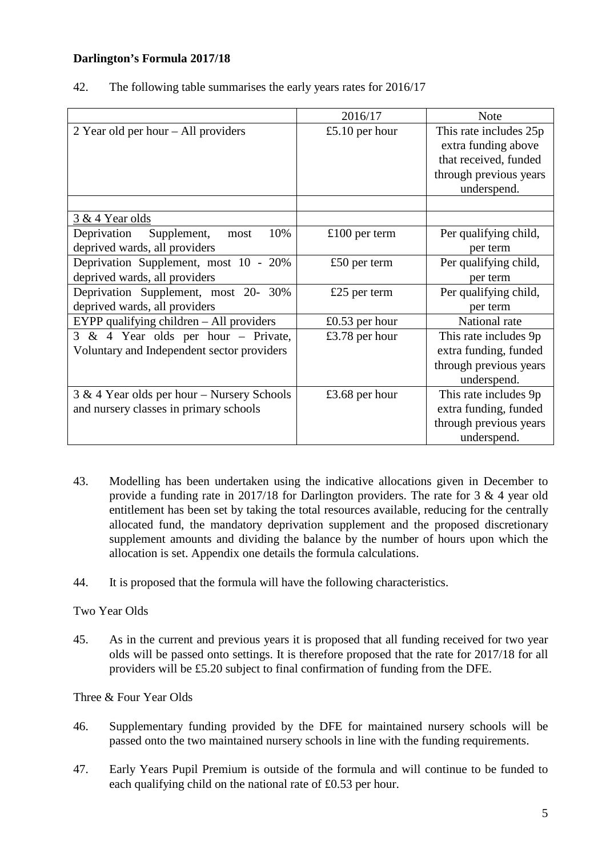# **Darlington's Formula 2017/18**

| 42. |  | The following table summarises the early years rates for 2016/17 |  |
|-----|--|------------------------------------------------------------------|--|
|-----|--|------------------------------------------------------------------|--|

|                                            | 2016/17        | <b>Note</b>            |
|--------------------------------------------|----------------|------------------------|
| 2 Year old per hour $-$ All providers      | £5.10 per hour | This rate includes 25p |
|                                            |                | extra funding above    |
|                                            |                | that received, funded  |
|                                            |                | through previous years |
|                                            |                | underspend.            |
|                                            |                |                        |
| 3 & 4 Year olds                            |                |                        |
| 10%<br>Deprivation<br>Supplement,<br>most  | £100 per term  | Per qualifying child,  |
| deprived wards, all providers              |                | per term               |
| Deprivation Supplement, most 10 - 20%      | £50 per term   | Per qualifying child,  |
| deprived wards, all providers              |                | per term               |
| Deprivation Supplement, most 20- 30%       | £25 per term   | Per qualifying child,  |
| deprived wards, all providers              |                | per term               |
| EYPP qualifying children $-$ All providers | £0.53 per hour | National rate          |
| 3 & 4 Year olds per hour - Private,        | £3.78 per hour | This rate includes 9p  |
| Voluntary and Independent sector providers |                | extra funding, funded  |
|                                            |                | through previous years |
|                                            |                | underspend.            |
| 3 & 4 Year olds per hour – Nursery Schools | £3.68 per hour | This rate includes 9p  |
| and nursery classes in primary schools     |                | extra funding, funded  |
|                                            |                | through previous years |
|                                            |                | underspend.            |

- 43. Modelling has been undertaken using the indicative allocations given in December to provide a funding rate in 2017/18 for Darlington providers. The rate for 3 & 4 year old entitlement has been set by taking the total resources available, reducing for the centrally allocated fund, the mandatory deprivation supplement and the proposed discretionary supplement amounts and dividing the balance by the number of hours upon which the allocation is set. Appendix one details the formula calculations.
- 44. It is proposed that the formula will have the following characteristics.

Two Year Olds

45. As in the current and previous years it is proposed that all funding received for two year olds will be passed onto settings. It is therefore proposed that the rate for 2017/18 for all providers will be £5.20 subject to final confirmation of funding from the DFE.

Three & Four Year Olds

- 46. Supplementary funding provided by the DFE for maintained nursery schools will be passed onto the two maintained nursery schools in line with the funding requirements.
- 47. Early Years Pupil Premium is outside of the formula and will continue to be funded to each qualifying child on the national rate of £0.53 per hour.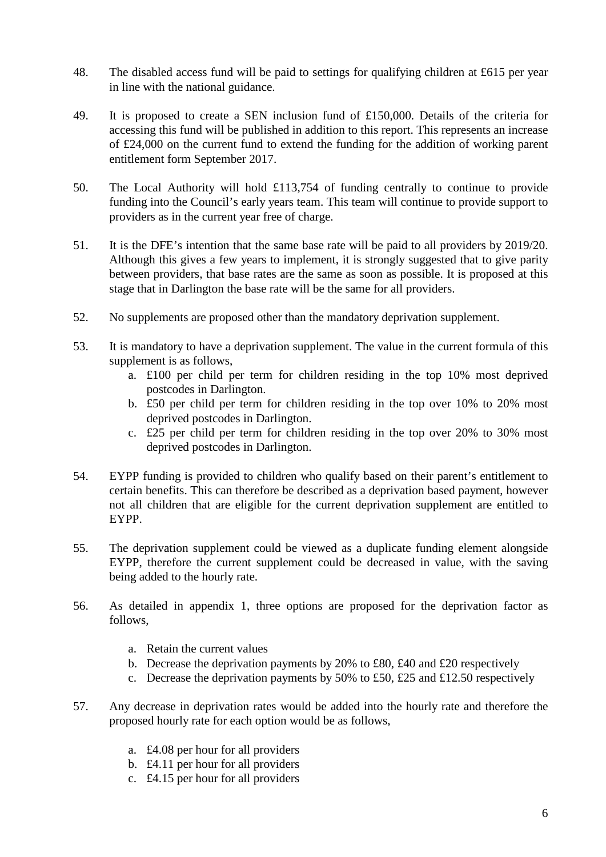- 48. The disabled access fund will be paid to settings for qualifying children at £615 per year in line with the national guidance.
- 49. It is proposed to create a SEN inclusion fund of £150,000. Details of the criteria for accessing this fund will be published in addition to this report. This represents an increase of £24,000 on the current fund to extend the funding for the addition of working parent entitlement form September 2017.
- 50. The Local Authority will hold £113,754 of funding centrally to continue to provide funding into the Council's early years team. This team will continue to provide support to providers as in the current year free of charge.
- 51. It is the DFE's intention that the same base rate will be paid to all providers by 2019/20. Although this gives a few years to implement, it is strongly suggested that to give parity between providers, that base rates are the same as soon as possible. It is proposed at this stage that in Darlington the base rate will be the same for all providers.
- 52. No supplements are proposed other than the mandatory deprivation supplement.
- 53. It is mandatory to have a deprivation supplement. The value in the current formula of this supplement is as follows,
	- a. £100 per child per term for children residing in the top 10% most deprived postcodes in Darlington.
	- b. £50 per child per term for children residing in the top over 10% to 20% most deprived postcodes in Darlington.
	- c. £25 per child per term for children residing in the top over 20% to 30% most deprived postcodes in Darlington.
- 54. EYPP funding is provided to children who qualify based on their parent's entitlement to certain benefits. This can therefore be described as a deprivation based payment, however not all children that are eligible for the current deprivation supplement are entitled to EYPP.
- 55. The deprivation supplement could be viewed as a duplicate funding element alongside EYPP, therefore the current supplement could be decreased in value, with the saving being added to the hourly rate.
- 56. As detailed in appendix 1, three options are proposed for the deprivation factor as follows,
	- a. Retain the current values
	- b. Decrease the deprivation payments by 20% to £80, £40 and £20 respectively
	- c. Decrease the deprivation payments by 50% to £50, £25 and £12.50 respectively
- 57. Any decrease in deprivation rates would be added into the hourly rate and therefore the proposed hourly rate for each option would be as follows,
	- a. £4.08 per hour for all providers
	- b. £4.11 per hour for all providers
	- c. £4.15 per hour for all providers